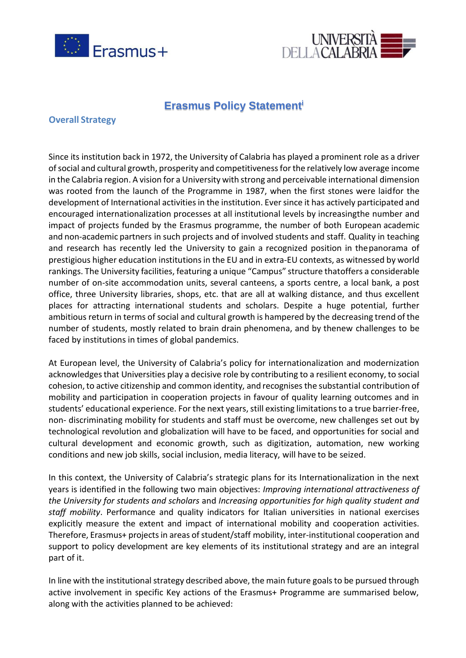



# **Erasmus Policy Statement<sup>i</sup>**

## **Overall Strategy**

Since its institution back in 1972, the University of Calabria has played a prominent role as a driver of social and cultural growth, prosperity and competitiveness for the relatively low average income in the Calabria region. A vision for a University with strong and perceivable international dimension was rooted from the launch of the Programme in 1987, when the first stones were laidfor the development of International activities in the institution. Ever since it has actively participated and encouraged internationalization processes at all institutional levels by increasingthe number and impact of projects funded by the Erasmus programme, the number of both European academic and non-academic partners in such projects and of involved students and staff. Quality in teaching and research has recently led the University to gain a recognized position in thepanorama of prestigious higher education institutions in the EU and in extra-EU contexts, as witnessed by world rankings. The University facilities, featuring a unique "Campus" structure thatoffers a considerable number of on-site accommodation units, several canteens, a sports centre, a local bank, a post office, three University libraries, shops, etc. that are all at walking distance, and thus excellent places for attracting international students and scholars. Despite a huge potential, further ambitious return in terms of social and cultural growth is hampered by the decreasing trend of the number of students, mostly related to brain drain phenomena, and by thenew challenges to be faced by institutions in times of global pandemics.

At European level, the University of Calabria's policy for internationalization and modernization acknowledgesthat Universities play a decisive role by contributing to a resilient economy, to social cohesion, to active citizenship and common identity, and recognises the substantial contribution of mobility and participation in cooperation projects in favour of quality learning outcomes and in students' educational experience. For the next years, still existing limitations to a true barrier-free, non- discriminating mobility for students and staff must be overcome, new challenges set out by technological revolution and globalization will have to be faced, and opportunities for social and cultural development and economic growth, such as digitization, automation, new working conditions and new job skills, social inclusion, media literacy, will have to be seized.

In this context, the University of Calabria's strategic plans for its Internationalization in the next years is identified in the following two main objectives: *Improving international attractiveness of the University for students and scholars* and *Increasing opportunities for high quality student and staff mobility*. Performance and quality indicators for Italian universities in national exercises explicitly measure the extent and impact of international mobility and cooperation activities. Therefore, Erasmus+ projects in areas of student/staff mobility, inter-institutional cooperation and support to policy development are key elements of its institutional strategy and are an integral part of it.

In line with the institutional strategy described above, the main future goals to be pursued through active involvement in specific Key actions of the Erasmus+ Programme are summarised below, along with the activities planned to be achieved: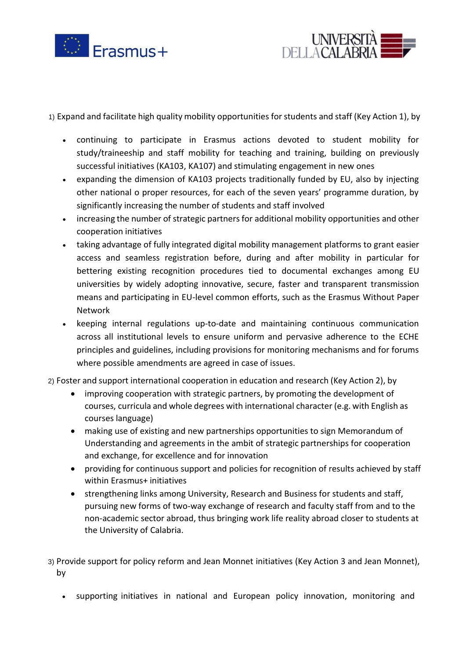



1) Expand and facilitate high quality mobility opportunities forstudents and staff (Key Action 1), by

- continuing to participate in Erasmus actions devoted to student mobility for study/traineeship and staff mobility for teaching and training, building on previously successful initiatives (KA103, KA107) and stimulating engagement in new ones
- expanding the dimension of KA103 projects traditionally funded by EU, also by injecting other national o proper resources, for each of the seven years' programme duration, by significantly increasing the number of students and staff involved
- increasing the number of strategic partners for additional mobility opportunities and other cooperation initiatives
- taking advantage of fully integrated digital mobility management platforms to grant easier access and seamless registration before, during and after mobility in particular for bettering existing recognition procedures tied to documental exchanges among EU universities by widely adopting innovative, secure, faster and transparent transmission means and participating in EU-level common efforts, such as the Erasmus Without Paper Network
- keeping internal regulations up-to-date and maintaining continuous communication across all institutional levels to ensure uniform and pervasive adherence to the ECHE principles and guidelines, including provisions for monitoring mechanisms and for forums where possible amendments are agreed in case of issues.
- 2) Foster and support international cooperation in education and research (Key Action 2), by
	- improving cooperation with strategic partners, by promoting the development of courses, curricula and whole degrees with international character (e.g. with English as courses language)
	- making use of existing and new partnerships opportunities to sign Memorandum of Understanding and agreements in the ambit of strategic partnerships for cooperation and exchange, for excellence and for innovation
	- providing for continuous support and policies for recognition of results achieved by staff within Erasmus+ initiatives
	- strengthening links among University, Research and Business for students and staff, pursuing new forms of two-way exchange of research and faculty staff from and to the non-academic sector abroad, thus bringing work life reality abroad closer to students at the University of Calabria.
- 3) Provide support for policy reform and Jean Monnet initiatives (Key Action 3 and Jean Monnet), by
	- supporting initiatives in national and European policy innovation, monitoring and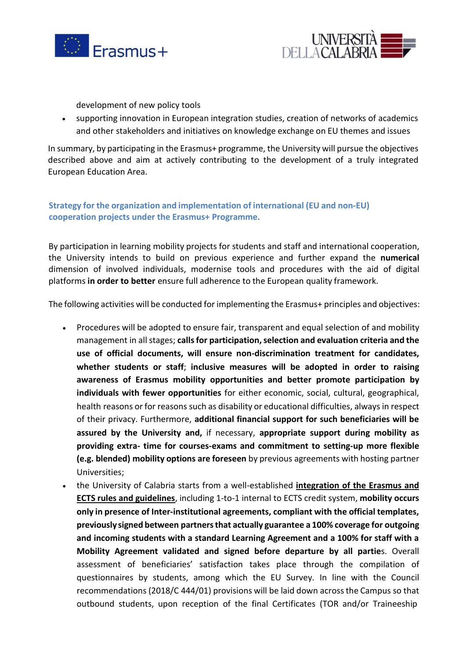



development of new policy tools

• supporting innovation in European integration studies, creation of networks of academics and other stakeholders and initiatives on knowledge exchange on EU themes and issues

In summary, by participating in the Erasmus+ programme, the University will pursue the objectives described above and aim at actively contributing to the development of a truly integrated European Education Area.

# **Strategy for the organization and implementation of international (EU and non-EU) cooperation projects under the Erasmus+ Programme.**

By participation in learning mobility projects for students and staff and international cooperation, the University intends to build on previous experience and further expand the **numerical** dimension of involved individuals, modernise tools and procedures with the aid of digital platforms **in order to better** ensure full adherence to the European quality framework.

The following activities will be conducted for implementing the Erasmus+ principles and objectives:

- Procedures will be adopted to ensure fair, transparent and equal selection of and mobility management in allstages; **callsfor participation,selection and evaluation criteria and the use of official documents, will ensure non-discrimination treatment for candidates, whether students or staff**; **inclusive measures will be adopted in order to raising awareness of Erasmus mobility opportunities and better promote participation by individuals with fewer opportunities** for either economic, social, cultural, geographical, health reasons or for reasons such as disability or educational difficulties, always in respect of their privacy. Furthermore, **additional financial support for such beneficiaries will be assured by the University and,** if necessary, **appropriate support during mobility as providing extra- time for courses-exams and commitment to setting-up more flexible (e.g. blended) mobility options are foreseen** by previous agreements with hosting partner Universities;
- the University of Calabria starts from a well-established **integration of the Erasmus and ECTS rules and guidelines**, including 1-to-1 internal to ECTS credit system, **mobility occurs only in presence of Inter-institutional agreements, compliant with the official templates, previously signed between partnersthat actually guarantee a 100% coverage for outgoing and incoming students with a standard Learning Agreement and a 100% for staff with a Mobility Agreement validated and signed before departure by all partie**s. Overall assessment of beneficiaries' satisfaction takes place through the compilation of questionnaires by students, among which the EU Survey. In line with the Council recommendations (2018/C 444/01) provisions will be laid down acrossthe Campus so that outbound students, upon reception of the final Certificates (TOR and/or Traineeship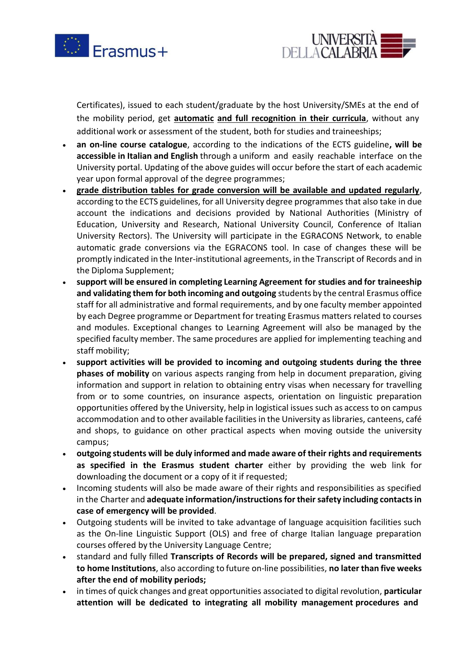



Certificates), issued to each student/graduate by the host University/SMEs at the end of the mobility period, get **automatic and full recognition in their curricula**, without any additional work or assessment of the student, both for studies and traineeships;

- **an on-line course catalogue**, according to the indications of the ECTS guideline**, will be accessible in Italian and English** through a uniform and easily reachable interface on the University portal. Updating of the above guides will occur before the start of each academic year upon formal approval of the degree programmes;
- **grade distribution tables for grade conversion will be available and updated regularly**, according to the ECTS guidelines, for all University degree programmes that also take in due account the indications and decisions provided by National Authorities (Ministry of Education, University and Research, National University Council, Conference of Italian University Rectors). The University will participate in the EGRACONS Network, to enable automatic grade conversions via the EGRACONS tool. In case of changes these will be promptly indicated in the Inter-institutional agreements, in the Transcript of Records and in the Diploma Supplement;
- **support will be ensured in completing Learning Agreement for studies and for traineeship and validating them for both incoming and outgoing** students by the central Erasmus office staff for all administrative and formal requirements, and by one faculty member appointed by each Degree programme or Department for treating Erasmus matters related to courses and modules. Exceptional changes to Learning Agreement will also be managed by the specified faculty member. The same procedures are applied for implementing teaching and staff mobility;
- **support activities will be provided to incoming and outgoing students during the three phases of mobility** on various aspects ranging from help in document preparation, giving information and support in relation to obtaining entry visas when necessary for travelling from or to some countries, on insurance aspects, orientation on linguistic preparation opportunities offered by the University, help in logistical issues such as access to on campus accommodation and to other available facilities in the University as libraries, canteens, café and shops, to guidance on other practical aspects when moving outside the university campus;
- **outgoing students will be duly informed and made aware of their rights and requirements as specified in the Erasmus student charter** either by providing the web link for downloading the document or a copy of it if requested;
- Incoming students will also be made aware of their rights and responsibilities as specified in the Charter and **adequate information/instructionsfortheirsafety including contactsin case of emergency will be provided**.
- Outgoing students will be invited to take advantage of language acquisition facilities such as the On-line Linguistic Support (OLS) and free of charge Italian language preparation courses offered by the University Language Centre;
- standard and fully filled **Transcripts of Records will be prepared, signed and transmitted to home Institutions**, also according to future on-line possibilities, **no later than five weeks after the end of mobility periods;**
- in times of quick changes and great opportunities associated to digital revolution, **particular attention will be dedicated to integrating all mobility management procedures and**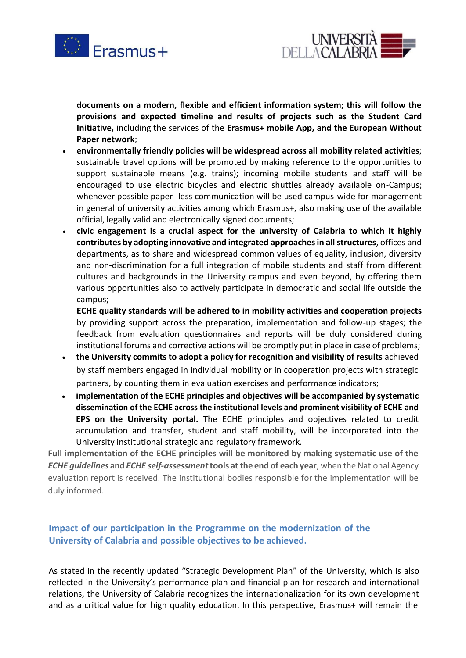



**documents on a modern, flexible and efficient information system; this will follow the provisions and expected timeline and results of projects such as the Student Card Initiative,** including the services of the **Erasmus+ mobile App, and the European Without Paper network**;

- **environmentally friendly policies will be widespread across all mobility related activities**; sustainable travel options will be promoted by making reference to the opportunities to support sustainable means (e.g. trains); incoming mobile students and staff will be encouraged to use electric bicycles and electric shuttles already available on-Campus; whenever possible paper- less communication will be used campus-wide for management in general of university activities among which Erasmus+, also making use of the available official, legally valid and electronically signed documents;
- **civic engagement is a crucial aspect for the university of Calabria to which it highly contributes by adopting innovative and integrated approachesin allstructures**, offices and departments, as to share and widespread common values of equality, inclusion, diversity and non-discrimination for a full integration of mobile students and staff from different cultures and backgrounds in the University campus and even beyond, by offering them various opportunities also to actively participate in democratic and social life outside the campus;

**ECHE quality standards will be adhered to in mobility activities and cooperation projects** by providing support across the preparation, implementation and follow-up stages; the feedback from evaluation questionnaires and reports will be duly considered during institutional forums and corrective actions will be promptly put in place in case of problems;

- **the University commits to adopt a policy for recognition and visibility of results** achieved by staff members engaged in individual mobility or in cooperation projects with strategic partners, by counting them in evaluation exercises and performance indicators;
- **implementation of the ECHE principles and objectives will be accompanied by systematic dissemination of the ECHE across the institutional levels and prominent visibility of ECHE and EPS on the University portal.** The ECHE principles and objectives related to credit accumulation and transfer, student and staff mobility, will be incorporated into the University institutional strategic and regulatory framework.

**Full implementation of the ECHE principles will be monitored by making systematic use of the** *ECHE* guidelines and *ECHE* self-assessment tools at the end of each year, when the National Agency evaluation report is received. The institutional bodies responsible for the implementation will be duly informed.

# **Impact of our participation in the Programme on the modernization of the University of Calabria and possible objectives to be achieved.**

As stated in the recently updated "Strategic Development Plan" of the University, which is also reflected in the University's performance plan and financial plan for research and international relations, the University of Calabria recognizes the internationalization for its own development and as a critical value for high quality education. In this perspective, Erasmus+ will remain the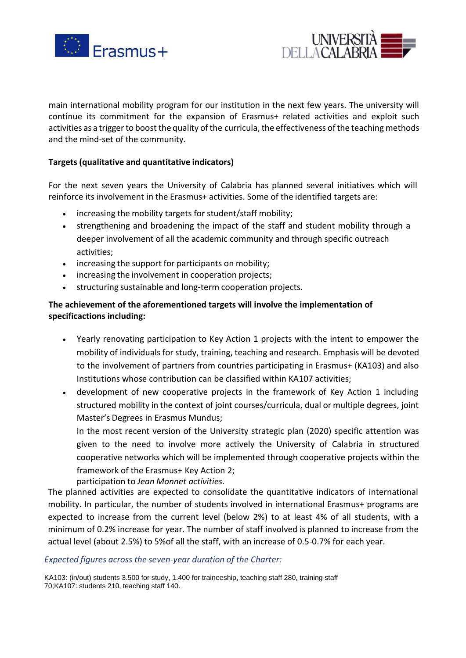



main international mobility program for our institution in the next few years. The university will continue its commitment for the expansion of Erasmus+ related activities and exploit such activities as a trigger to boost the quality of the curricula, the effectiveness of the teaching methods and the mind-set of the community.

## **Targets (qualitative and quantitative indicators)**

For the next seven years the University of Calabria has planned several initiatives which will reinforce its involvement in the Erasmus+ activities. Some of the identified targets are:

- increasing the mobility targets for student/staff mobility;
- strengthening and broadening the impact of the staff and student mobility through a deeper involvement of all the academic community and through specific outreach activities;
- increasing the support for participants on mobility;
- increasing the involvement in cooperation projects;
- structuring sustainable and long-term cooperation projects.

## **The achievement of the aforementioned targets will involve the implementation of specificactions including:**

- Yearly renovating participation to Key Action 1 projects with the intent to empower the mobility of individuals for study, training, teaching and research. Emphasis will be devoted to the involvement of partners from countries participating in Erasmus+ (KA103) and also Institutions whose contribution can be classified within KA107 activities;
- development of new cooperative projects in the framework of Key Action 1 including structured mobility in the context of joint courses/curricula, dual or multiple degrees, joint Master's Degrees in Erasmus Mundus;

In the most recent version of the University strategic plan (2020) specific attention was given to the need to involve more actively the University of Calabria in structured cooperative networks which will be implemented through cooperative projects within the framework of the Erasmus+ Key Action 2;

participation to *Jean Monnet activities*.

The planned activities are expected to consolidate the quantitative indicators of international mobility. In particular, the number of students involved in international Erasmus+ programs are expected to increase from the current level (below 2%) to at least 4% of all students, with a minimum of 0.2% increase for year. The number of staff involved is planned to increase from the actual level (about 2.5%) to 5%of all the staff, with an increase of 0.5-0.7% for each year.

#### *Expected figures across the seven-year duration of the Charter:*

KA103: (in/out) students 3.500 for study, 1.400 for traineeship, teaching staff 280, training staff 70;KA107: students 210, teaching staff 140.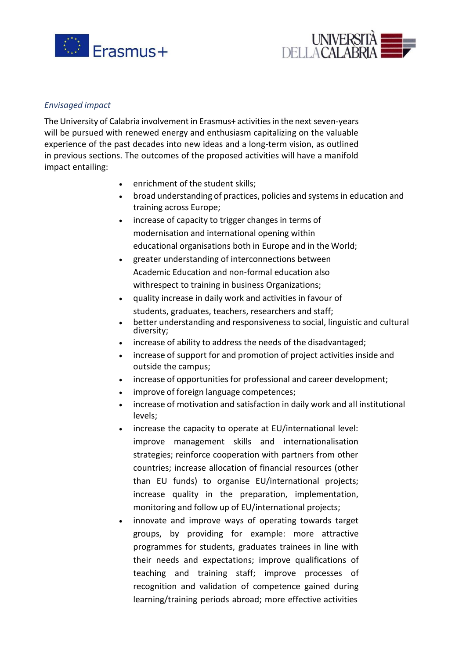



#### *Envisaged impact*

The University of Calabria involvement in Erasmus+ activitiesin the next seven-years will be pursued with renewed energy and enthusiasm capitalizing on the valuable experience of the past decades into new ideas and a long-term vision, as outlined in previous sections. The outcomes of the proposed activities will have a manifold impact entailing:

- enrichment of the student skills;
- broad understanding of practices, policies and systems in education and training across Europe;
- increase of capacity to trigger changes in terms of modernisation and international opening within educational organisations both in Europe and in the World;
- greater understanding of interconnections between Academic Education and non-formal education also withrespect to training in business Organizations;
- quality increase in daily work and activities in favour of students, graduates, teachers, researchers and staff;
- better understanding and responsiveness to social, linguistic and cultural diversity;
- increase of ability to address the needs of the disadvantaged;
- increase of support for and promotion of project activities inside and outside the campus;
- increase of opportunities for professional and career development;
- improve of foreign language competences;
- increase of motivation and satisfaction in daily work and all institutional levels;
- increase the capacity to operate at EU/international level: improve management skills and internationalisation strategies; reinforce cooperation with partners from other countries; increase allocation of financial resources (other than EU funds) to organise EU/international projects; increase quality in the preparation, implementation, monitoring and follow up of EU/international projects;
- innovate and improve ways of operating towards target groups, by providing for example: more attractive programmes for students, graduates trainees in line with their needs and expectations; improve qualifications of teaching and training staff; improve processes of recognition and validation of competence gained during learning/training periods abroad; more effective activities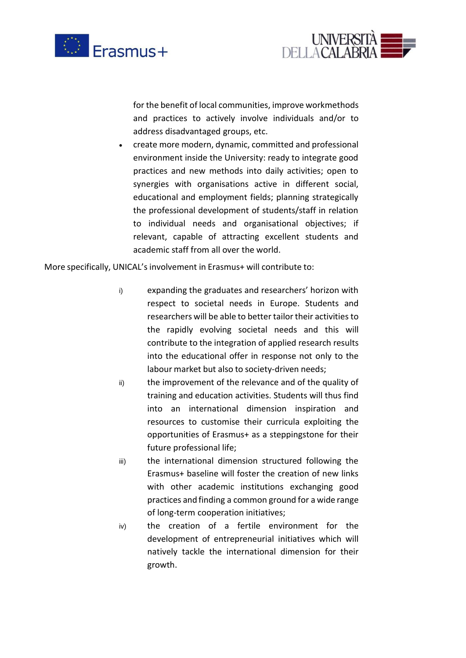



for the benefit of local communities, improve workmethods and practices to actively involve individuals and/or to address disadvantaged groups, etc.

• create more modern, dynamic, committed and professional environment inside the University: ready to integrate good practices and new methods into daily activities; open to synergies with organisations active in different social, educational and employment fields; planning strategically the professional development of students/staff in relation to individual needs and organisational objectives; if relevant, capable of attracting excellent students and academic staff from all over the world.

More specifically, UNICAL's involvement in Erasmus+ will contribute to:

- i) expanding the graduates and researchers' horizon with respect to societal needs in Europe. Students and researchers will be able to better tailor their activities to the rapidly evolving societal needs and this will contribute to the integration of applied research results into the educational offer in response not only to the labour market but also to society-driven needs;
- ii) the improvement of the relevance and of the quality of training and education activities. Students will thus find into an international dimension inspiration and resources to customise their curricula exploiting the opportunities of Erasmus+ as a steppingstone for their future professional life;
- iii) the international dimension structured following the Erasmus+ baseline will foster the creation of new links with other academic institutions exchanging good practices and finding a common ground for a wide range of long-term cooperation initiatives;
- iv) the creation of a fertile environment for the development of entrepreneurial initiatives which will natively tackle the international dimension for their growth.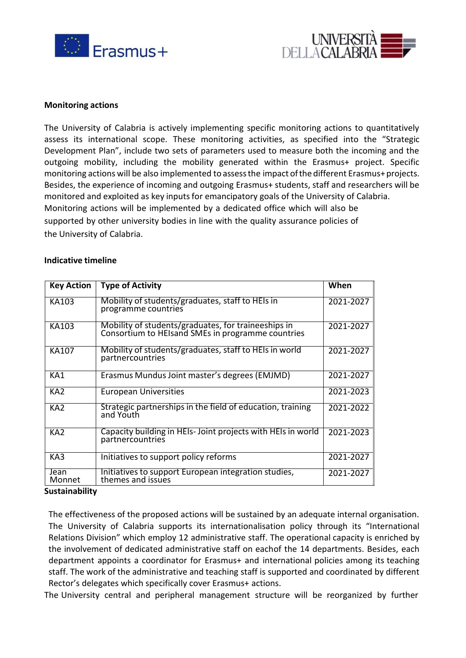



#### **Monitoring actions**

The University of Calabria is actively implementing specific monitoring actions to quantitatively assess its international scope. These monitoring activities, as specified into the "Strategic Development Plan", include two sets of parameters used to measure both the incoming and the outgoing mobility, including the mobility generated within the Erasmus+ project. Specific monitoring actions will be also implemented to assess the impact of the different Erasmus+ projects. Besides, the experience of incoming and outgoing Erasmus+ students, staff and researchers will be monitored and exploited as key inputsfor emancipatory goals of the University of Calabria. Monitoring actions will be implemented by a dedicated office which will also be supported by other university bodies in line with the quality assurance policies of the University of Calabria.

#### **Indicative timeline**

| <b>Key Action</b> | <b>Type of Activity</b>                                                                                  | When      |
|-------------------|----------------------------------------------------------------------------------------------------------|-----------|
| KA103             | Mobility of students/graduates, staff to HEIs in<br>programme countries                                  | 2021-2027 |
| KA103             | Mobility of students/graduates, for traineeships in<br>Consortium to HEIsand SMEs in programme countries | 2021-2027 |
| KA107             | Mobility of students/graduates, staff to HEIs in world<br>partnercountries                               | 2021-2027 |
| KA1               | Erasmus Mundus Joint master's degrees (EMJMD)                                                            | 2021-2027 |
| KA <sub>2</sub>   | <b>European Universities</b>                                                                             | 2021-2023 |
| KA <sub>2</sub>   | Strategic partnerships in the field of education, training<br>and Youth                                  | 2021-2022 |
| KA <sub>2</sub>   | Capacity building in HEIs-Joint projects with HEIs in world<br>partnercountries                          | 2021-2023 |
| KA3               | Initiatives to support policy reforms                                                                    | 2021-2027 |
| Jean<br>Monnet    | Initiatives to support European integration studies,<br>themes and issues                                | 2021-2027 |

#### **Sustainability**

The effectiveness of the proposed actions will be sustained by an adequate internal organisation. The University of Calabria supports its internationalisation policy through its "International Relations Division" which employ 12 administrative staff. The operational capacity is enriched by the involvement of dedicated administrative staff on eachof the 14 departments. Besides, each department appoints a coordinator for Erasmus+ and international policies among its teaching staff. The work of the administrative and teaching staff is supported and coordinated by different Rector's delegates which specifically cover Erasmus+ actions.

The University central and peripheral management structure will be reorganized by further